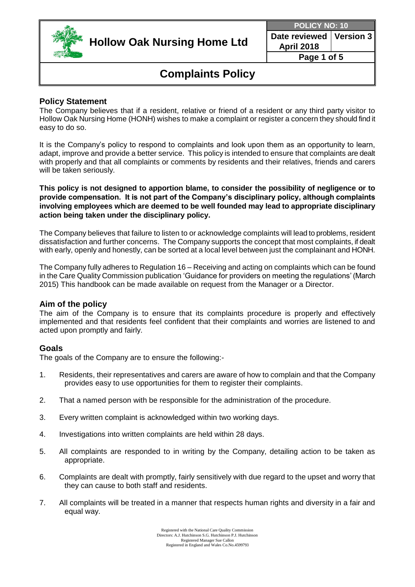

**Date reviewed April 2018 Version 3**

**Page 1 of 5**

## **Complaints Policy**

### **Policy Statement**

The Company believes that if a resident, relative or friend of a resident or any third party visitor to Hollow Oak Nursing Home (HONH) wishes to make a complaint or register a concern they should find it easy to do so.

It is the Company's policy to respond to complaints and look upon them as an opportunity to learn, adapt, improve and provide a better service. This policy is intended to ensure that complaints are dealt with properly and that all complaints or comments by residents and their relatives, friends and carers will be taken seriously.

**This policy is not designed to apportion blame, to consider the possibility of negligence or to provide compensation. It is not part of the Company's disciplinary policy, although complaints involving employees which are deemed to be well founded may lead to appropriate disciplinary action being taken under the disciplinary policy.**

The Company believes that failure to listen to or acknowledge complaints will lead to problems, resident dissatisfaction and further concerns. The Company supports the concept that most complaints, if dealt with early, openly and honestly, can be sorted at a local level between just the complainant and HONH.

The Company fully adheres to Regulation 16 – Receiving and acting on complaints which can be found in the Care Quality Commission publication 'Guidance for providers on meeting the regulations' (March 2015) This handbook can be made available on request from the Manager or a Director.

### **Aim of the policy**

The aim of the Company is to ensure that its complaints procedure is properly and effectively implemented and that residents feel confident that their complaints and worries are listened to and acted upon promptly and fairly.

### **Goals**

The goals of the Company are to ensure the following:-

- 1. Residents, their representatives and carers are aware of how to complain and that the Company provides easy to use opportunities for them to register their complaints.
- 2. That a named person with be responsible for the administration of the procedure.
- 3. Every written complaint is acknowledged within two working days.
- 4. Investigations into written complaints are held within 28 days.
- 5. All complaints are responded to in writing by the Company, detailing action to be taken as appropriate.
- 6. Complaints are dealt with promptly, fairly sensitively with due regard to the upset and worry that they can cause to both staff and residents.
- 7. All complaints will be treated in a manner that respects human rights and diversity in a fair and equal way.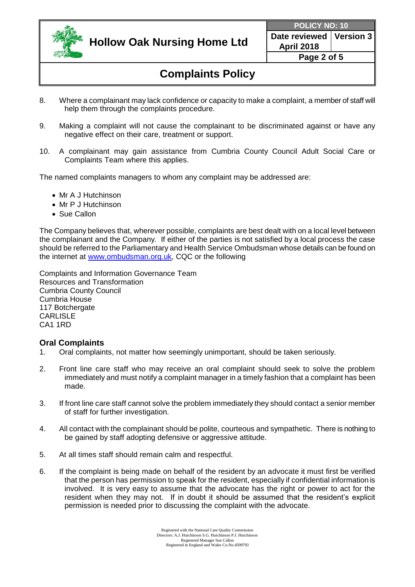

**Date reviewed April 2018 Version 3**

**Page 2 of 5**

# **Complaints Policy**

- 8. Where a complainant may lack confidence or capacity to make a complaint, a member of staff will help them through the complaints procedure.
- 9. Making a complaint will not cause the complainant to be discriminated against or have any negative effect on their care, treatment or support.
- 10. A complainant may gain assistance from Cumbria County Council Adult Social Care or Complaints Team where this applies.

The named complaints managers to whom any complaint may be addressed are:

- Mr A J Hutchinson
- Mr P J Hutchinson
- Sue Callon

The Company believes that, wherever possible, complaints are best dealt with on a local level between the complainant and the Company. If either of the parties is not satisfied by a local process the case should be referred to the Parliamentary and Health Service Ombudsman whose details can be found on the internet at [www.ombudsman.org.uk,](http://www.ombudsman.org.uk/) CQC or the following

Complaints and Information Governance Team Resources and Transformation Cumbria County Council Cumbria House 117 Botchergate **CARLISLE** CA1 1RD

### **Oral Complaints**

- 1. Oral complaints, not matter how seemingly unimportant, should be taken seriously.
- 2. Front line care staff who may receive an oral complaint should seek to solve the problem immediately and must notify a complaint manager in a timely fashion that a complaint has been made.
- 3. If front line care staff cannot solve the problem immediately they should contact a senior member of staff for further investigation.
- 4. All contact with the complainant should be polite, courteous and sympathetic. There is nothing to be gained by staff adopting defensive or aggressive attitude.
- 5. At all times staff should remain calm and respectful.
- 6. If the complaint is being made on behalf of the resident by an advocate it must first be verified that the person has permission to speak for the resident, especially if confidential information is involved. It is very easy to assume that the advocate has the right or power to act for the resident when they may not. If in doubt it should be assumed that the resident's explicit permission is needed prior to discussing the complaint with the advocate.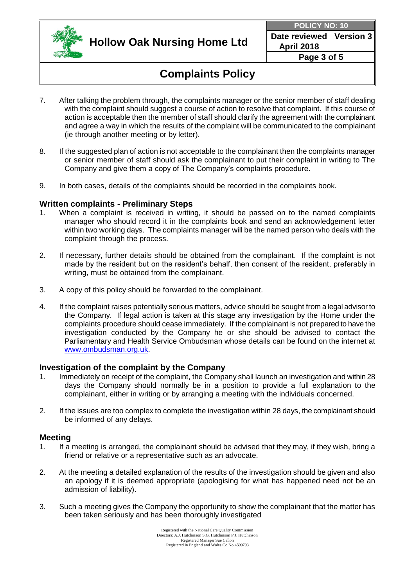

**Date reviewed April 2018 Version 3**

**Page 3 of 5**

# **Complaints Policy**

- 7. After talking the problem through, the complaints manager or the senior member of staff dealing with the complaint should suggest a course of action to resolve that complaint. If this course of action is acceptable then the member of staff should clarify the agreement with the complainant and agree a way in which the results of the complaint will be communicated to the complainant (ie through another meeting or by letter).
- 8. If the suggested plan of action is not acceptable to the complainant then the complaints manager or senior member of staff should ask the complainant to put their complaint in writing to The Company and give them a copy of The Company's complaints procedure.
- 9. In both cases, details of the complaints should be recorded in the complaints book.

### **Written complaints - Preliminary Steps**

- 1. When a complaint is received in writing, it should be passed on to the named complaints manager who should record it in the complaints book and send an acknowledgement letter within two working days. The complaints manager will be the named person who deals with the complaint through the process.
- 2. If necessary, further details should be obtained from the complainant. If the complaint is not made by the resident but on the resident's behalf, then consent of the resident, preferably in writing, must be obtained from the complainant.
- 3. A copy of this policy should be forwarded to the complainant.
- 4. If the complaint raises potentially serious matters, advice should be sought from a legal advisor to the Company. If legal action is taken at this stage any investigation by the Home under the complaints procedure should cease immediately. If the complainant is not prepared to have the investigation conducted by the Company he or she should be advised to contact the Parliamentary and Health Service Ombudsman whose details can be found on the internet at [www.ombudsman.org.uk.](http://www.ombudsman.org.uk/)

#### **Investigation of the complaint by the Company**

- 1. Immediately on receipt of the complaint, the Company shall launch an investigation and within 28 days the Company should normally be in a position to provide a full explanation to the complainant, either in writing or by arranging a meeting with the individuals concerned.
- 2. If the issues are too complex to complete the investigation within 28 days, the complainant should be informed of any delays.

#### **Meeting**

- 1. If a meeting is arranged, the complainant should be advised that they may, if they wish, bring a friend or relative or a representative such as an advocate.
- 2. At the meeting a detailed explanation of the results of the investigation should be given and also an apology if it is deemed appropriate (apologising for what has happened need not be an admission of liability).
- 3. Such a meeting gives the Company the opportunity to show the complainant that the matter has been taken seriously and has been thoroughly investigated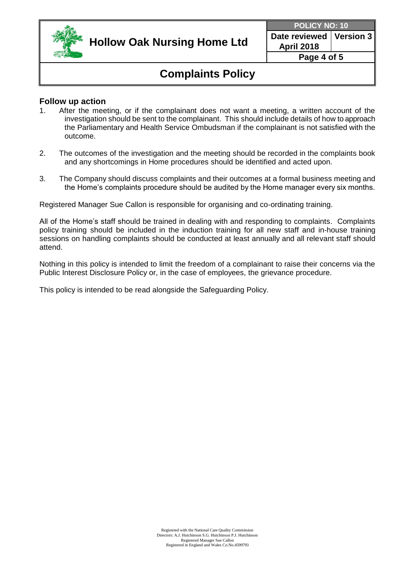

**Date reviewed April 2018 Version 3**

**Page 4 of 5**

## **Complaints Policy**

### **Follow up action**

- 1. After the meeting, or if the complainant does not want a meeting, a written account of the investigation should be sent to the complainant. This should include details of how to approach the Parliamentary and Health Service Ombudsman if the complainant is not satisfied with the outcome.
- 2. The outcomes of the investigation and the meeting should be recorded in the complaints book and any shortcomings in Home procedures should be identified and acted upon.
- 3. The Company should discuss complaints and their outcomes at a formal business meeting and the Home's complaints procedure should be audited by the Home manager every six months.

Registered Manager Sue Callon is responsible for organising and co-ordinating training.

All of the Home's staff should be trained in dealing with and responding to complaints. Complaints policy training should be included in the induction training for all new staff and in-house training sessions on handling complaints should be conducted at least annually and all relevant staff should attend.

Nothing in this policy is intended to limit the freedom of a complainant to raise their concerns via the Public Interest Disclosure Policy or, in the case of employees, the grievance procedure.

This policy is intended to be read alongside the Safeguarding Policy.

Registered with the National Care Quality Commission Directors: A.J. Hutchinson S.G. Hutchinson P.J. Hutchinson Registered Manager Sue Callon Registered in England and Wales Co.No.4599793